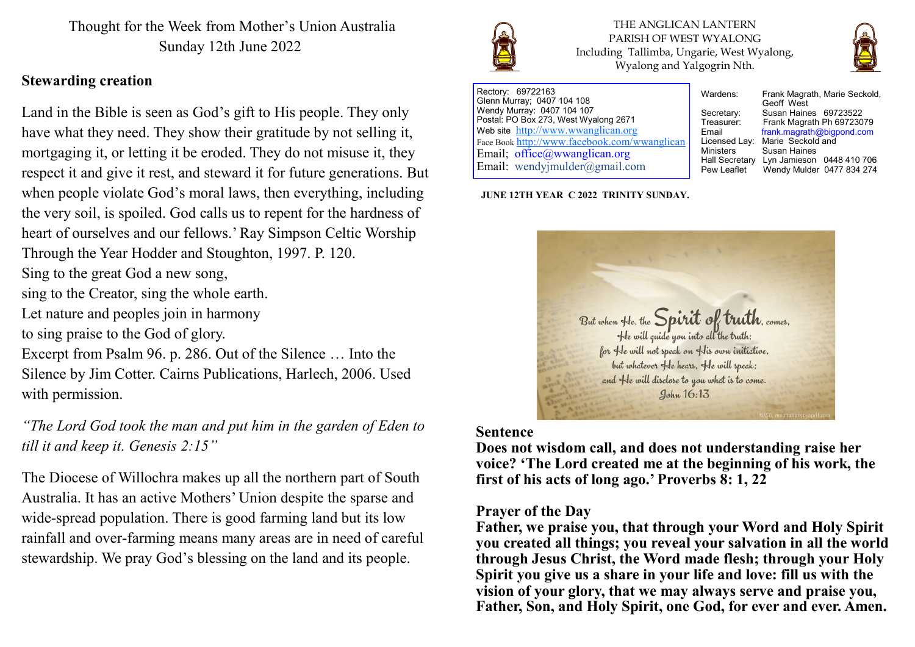Thought for the Week from Mother's Union Australia Sunday 12th June 2022

## **Stewarding creation**

Land in the Bible is seen as God's gift to His people. They only have what they need. They show their gratitude by not selling it, mortgaging it, or letting it be eroded. They do not misuse it, they respect it and give it rest, and steward it for future generations. But when people violate God's moral laws, then everything, including the very soil, is spoiled. God calls us to repent for the hardness of heart of ourselves and our fellows.' Ray Simpson Celtic Worship Through the Year Hodder and Stoughton, 1997. P. 120.

Sing to the great God a new song,

sing to the Creator, sing the whole earth.

Let nature and peoples join in harmony

to sing praise to the God of glory.

Excerpt from Psalm 96. p. 286. Out of the Silence … Into the Silence by Jim Cotter. Cairns Publications, Harlech, 2006. Used with permission.

*"The Lord God took the man and put him in the garden of Eden to till it and keep it. Genesis 2:15"*

The Diocese of Willochra makes up all the northern part of South Australia. It has an active Mothers' Union despite the sparse and wide-spread population. There is good farming land but its low rainfall and over-farming means many areas are in need of careful stewardship. We pray God's blessing on the land and its people.



THE ANGLICAN LANTERN PARISH OF WEST WYALONG Including Tallimba, Ungarie, West Wyalong, Wyalong and Yalgogrin Nth.



Rectory: 69722163 Glenn Murray; 0407 104 108 Wendy Murray: 0407 104 107 Postal: PO Box 273, West Wyalong 2671 Web site <http://www.wwanglican.org> Face Book <http://www.facebook.com/wwanglican> Email; office@wwanglican.org Email: wendyjmulder@gmail.com

**JUNE 12TH YEAR C 2022 TRINITY SUNDAY.**

Wardens: Frank Magrath, Marie Seckold, Geoff West Secretary: Susan Haines 69723522<br>Treasurer: Frank Magrath Ph 697230 Treasurer: Frank Magrath Ph 69723079<br>Email Frank magrath@bigpond.com Email frank.magrath@bigpond.com<br>Licensed Lav: Marie Seckold and Licensed Lay: Marie Seckold and<br>Ministers Susan Haines Susan Haines Hall Secretary Lyn Jamieson 0448 410 706<br>Pew Leaflet Wendy Mulder 0477 834 274 Wendy Mulder 0477 834 274



### **Sentence**

**Does not wisdom call, and does not understanding raise her voice? 'The Lord created me at the beginning of his work, the first of his acts of long ago.' Proverbs 8: 1, 22**

### **Prayer of the Day**

**Father, we praise you, that through your Word and Holy Spirit you created all things; you reveal your salvation in all the world through Jesus Christ, the Word made flesh; through your Holy Spirit you give us a share in your life and love: fill us with the vision of your glory, that we may always serve and praise you, Father, Son, and Holy Spirit, one God, for ever and ever. Amen.**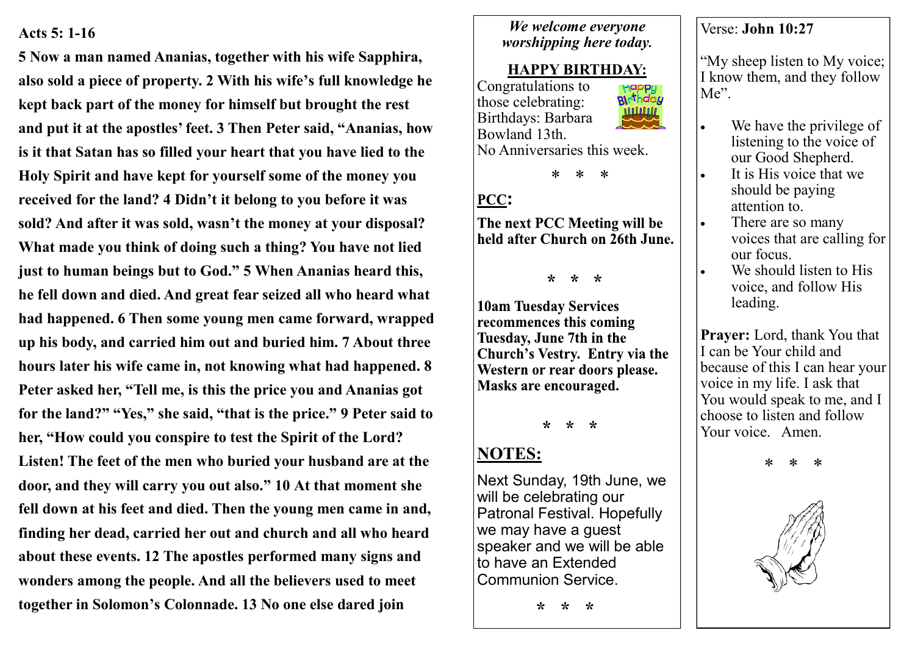### **Acts 5: 1-16**

**5 Now a man named Ananias, together with his wife Sapphira, also sold a piece of property. 2 With his wife's full knowledge he kept back part of the money for himself but brought the rest and put it at the apostles' feet. 3 Then Peter said, "Ananias, how is it that Satan has so filled your heart that you have lied to the Holy Spirit and have kept for yourself some of the money you received for the land? 4 Didn't it belong to you before it was sold? And after it was sold, wasn't the money at your disposal? What made you think of doing such a thing? You have not lied just to human beings but to God." 5 When Ananias heard this, he fell down and died. And great fear seized all who heard what had happened. 6 Then some young men came forward, wrapped up his body, and carried him out and buried him. 7 About three hours later his wife came in, not knowing what had happened. 8 Peter asked her, "Tell me, is this the price you and Ananias got for the land?" "Yes," she said, "that is the price." 9 Peter said to her, "How could you conspire to test the Spirit of the Lord? Listen! The feet of the men who buried your husband are at the door, and they will carry you out also." 10 At that moment she fell down at his feet and died. Then the young men came in and, finding her dead, carried her out and church and all who heard about these events. 12 The apostles performed many signs and wonders among the people. And all the believers used to meet together in Solomon's Colonnade. 13 No one else dared join** 

## *We welcome everyone worshipping here today.*

## **HAPPY BIRTHDAY:**

**Rinthday** 

Congratulations to those celebrating: Birthdays: Barbara Bowland 13th. No Anniversaries this week.

\* \* \*

# PCC:

The next PCC Meeting will be held after Church on 26th June.

**10am Tuesday Services** recommences this coming Tuesday, June 7th in the Church's Vestry. Entry via the Western or rear doors please. Masks are encouraged.

#### $\star$

#### **NOTES:**  $\overline{1}$

Next Sunday, 19th June, we will be celebrating our Patronal Festival. Hopefully we may have a guest speaker and we will be able to have an Extended Communion Service.

 **\* \* \***

## Verse: **John 10:27**

"My sheep listen to My voice; I know them, and they follow Me".

- We have the privilege of listening to the voice of our Good Shepherd.
- It is His voice that we should be paying attention to.
- There are so many voices that are calling for our focus.
- We should listen to His voice, and follow His leading.

**Prayer:** Lord, thank You that I can be Your child and because of this I can hear your voice in my life. I ask that You would speak to me, and I choose to listen and follow Your voice. Amen.





 $*$  \*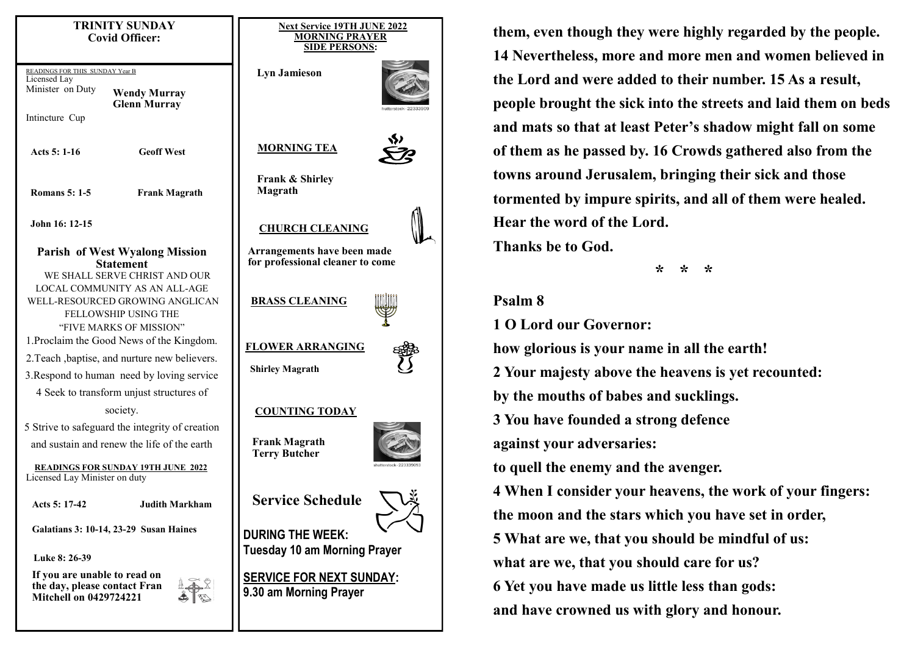| <b>TRINITY SUNDAY</b><br><b>Covid Officer:</b>                                                                                                                               | <b>Next Service 19TH JUNE 2022</b><br><b>MORNING PRAYER</b><br><b>SIDE PERSONS:</b> |
|------------------------------------------------------------------------------------------------------------------------------------------------------------------------------|-------------------------------------------------------------------------------------|
| READINGS FOR THIS SUNDAY Year B<br>Licensed Lay<br>Minister on Duty<br><b>Wendy Murray</b><br><b>Glenn Murray</b><br>Intincture Cup                                          | <b>Lyn Jamieson</b>                                                                 |
| <b>Geoff West</b><br>Acts 5: 1-16                                                                                                                                            | <b>MORNING TEA</b>                                                                  |
| <b>Romans 5: 1-5</b><br><b>Frank Magrath</b>                                                                                                                                 | Frank & Shirley<br>Magrath                                                          |
| John 16: 12-15                                                                                                                                                               | <b>CHURCH CLEANING</b>                                                              |
| <b>Parish of West Wyalong Mission</b><br><b>Statement</b><br>WE SHALL SERVE CHRIST AND OUR                                                                                   | Arrangements have been made<br>for professional cleaner to come                     |
| <b>LOCAL COMMUNITY AS AN ALL-AGE</b><br>WELL-RESOURCED GROWING ANGLICAN<br>FELLOWSHIP USING THE<br>"FIVE MARKS OF MISSION"                                                   | <b>BRASS CLEANING</b>                                                               |
| 1. Proclaim the Good News of the Kingdom.                                                                                                                                    | <b>FLOWER ARRANGING</b>                                                             |
| 2. Teach , baptise, and nurture new believers.<br>3. Respond to human need by loving service<br>4 Seek to transform unjust structures of                                     | <b>Shirley Magrath</b>                                                              |
| society.                                                                                                                                                                     | <b>COUNTING TODAY</b>                                                               |
| 5 Strive to safeguard the integrity of creation<br>and sustain and renew the life of the earth<br><b>READINGS FOR SUNDAY 19TH JUNE 2022</b><br>Licensed Lay Minister on duty | <b>Frank Magrath</b><br><b>Terry Butcher</b><br>hutterstock - 223                   |
| Acts 5: 17-42<br><b>Judith Markham</b>                                                                                                                                       | Service Schedule                                                                    |
| <b>Galatians 3: 10-14, 23-29 Susan Haines</b><br>Luke 8: 26-39                                                                                                               | <b>DURING THE WEEK:</b><br><b>Tuesday 10 am Morning Prayer</b>                      |
| If you are unable to read on<br>the day, please contact Fran<br><b>Mitchell on 0429724221</b>                                                                                | <b>SERVICE FOR NEXT SUNDAY:</b><br>9.30 am Morning Prayer                           |
|                                                                                                                                                                              |                                                                                     |

 $\sum_{i=1}^{N}$ **NING been made form** come FING

#### $\overline{\mathbf{AY}}$





**them, even though they were highly regarded by the people. 14 Nevertheless, more and more men and women believed in the Lord and were added to their number. 15 As a result, people brought the sick into the streets and laid them on beds and mats so that at least Peter's shadow might fall on some of them as he passed by. 16 Crowds gathered also from the towns around Jerusalem, bringing their sick and those tormented by impure spirits, and all of them were healed. Hear the word of the Lord.**

**Thanks be to God.**

 **\* \* \***

## **Psalm 8**

**1 O Lord our Governor:**

**how glorious is your name in all the earth! 2 Your majesty above the heavens is yet recounted: by the mouths of babes and sucklings. 3 You have founded a strong defence against your adversaries: to quell the enemy and the avenger. 4 When I consider your heavens, the work of your fingers: the moon and the stars which you have set in order, 5 What are we, that you should be mindful of us: what are we, that you should care for us? 6 Yet you have made us little less than gods: and have crowned us with glory and honour.**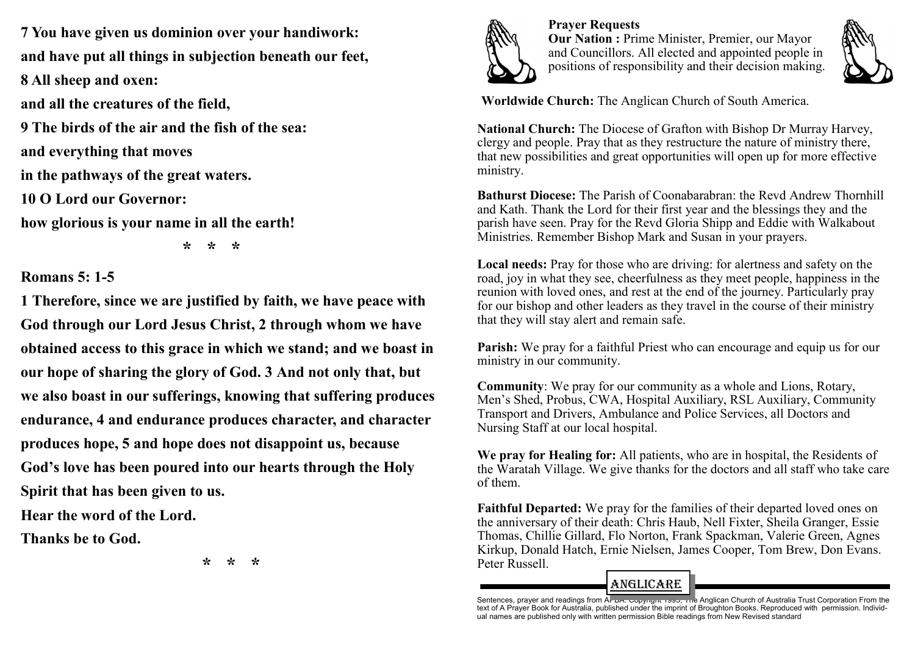**7 You have given us dominion over your handiwork: and have put all things in subjection beneath our feet, 8 All sheep and oxen:**

**and all the creatures of the field,**

**9 The birds of the air and the fish of the sea:**

**and everything that moves**

**in the pathways of the great waters.**

**10 O Lord our Governor:**

**how glorious is your name in all the earth!**

 **\* \* \***

## **Romans 5: 1-5**

**1 Therefore, since we are justified by faith, we have peace with God through our Lord Jesus Christ, 2 through whom we have obtained access to this grace in which we stand; and we boast in our hope of sharing the glory of God. 3 And not only that, but we also boast in our sufferings, knowing that suffering produces endurance, 4 and endurance produces character, and character produces hope, 5 and hope does not disappoint us, because God's love has been poured into our hearts through the Holy Spirit that has been given to us.** 

**Hear the word of the Lord.**

**Thanks be to God.**

 **\* \* \***



**Prayer Requests Our Nation :** Prime Minister, Premier, our Mayor and Councillors. All elected and appointed people in positions of responsibility and their decision making.



**Worldwide Church:** The Anglican Church of South America.

**National Church:** The Diocese of Grafton with Bishop Dr Murray Harvey, clergy and people. Pray that as they restructure the nature of ministry there, that new possibilities and great opportunities will open up for more effective ministry.

**Bathurst Diocese:** The Parish of Coonabarabran: the Revd Andrew Thornhill and Kath. Thank the Lord for their first year and the blessings they and the parish have seen. Pray for the Revd Gloria Shipp and Eddie with Walkabout Ministries. Remember Bishop Mark and Susan in your prayers.

**Local needs:** Pray for those who are driving: for alertness and safety on the road, joy in what they see, cheerfulness as they meet people, happiness in the reunion with loved ones, and rest at the end of the journey. Particularly pray for our bishop and other leaders as they travel in the course of their ministry that they will stay alert and remain safe.

**Parish:** We pray for a faithful Priest who can encourage and equip us for our ministry in our community.

**Community**: We pray for our community as a whole and Lions, Rotary, Men's Shed, Probus, CWA, Hospital Auxiliary, RSL Auxiliary, Community Transport and Drivers, Ambulance and Police Services, all Doctors and Nursing Staff at our local hospital.

**We pray for Healing for:** All patients, who are in hospital, the Residents of the Waratah Village. We give thanks for the doctors and all staff who take care of them.

**Faithful Departed:** We pray for the families of their departed loved ones on the anniversary of their death: Chris Haub, Nell Fixter, Sheila Granger, Essie Thomas, Chillie Gillard, Flo Norton, Frank Spackman, Valerie Green, Agnes Kirkup, Donald Hatch, Ernie Nielsen, James Cooper, Tom Brew, Don Evans. Peter Russell.

## ANGLiCARE

Sentences, prayer and readings from A<del>l-DA. Copyngin 1990, The</del> Anglican Church of Australia Trust Corporation From the<br>text of A Prayer Book for Australia, published under the imprint of Broughton Books. Reproduced with ual names are published only with written permission Bible readings from New Revised standard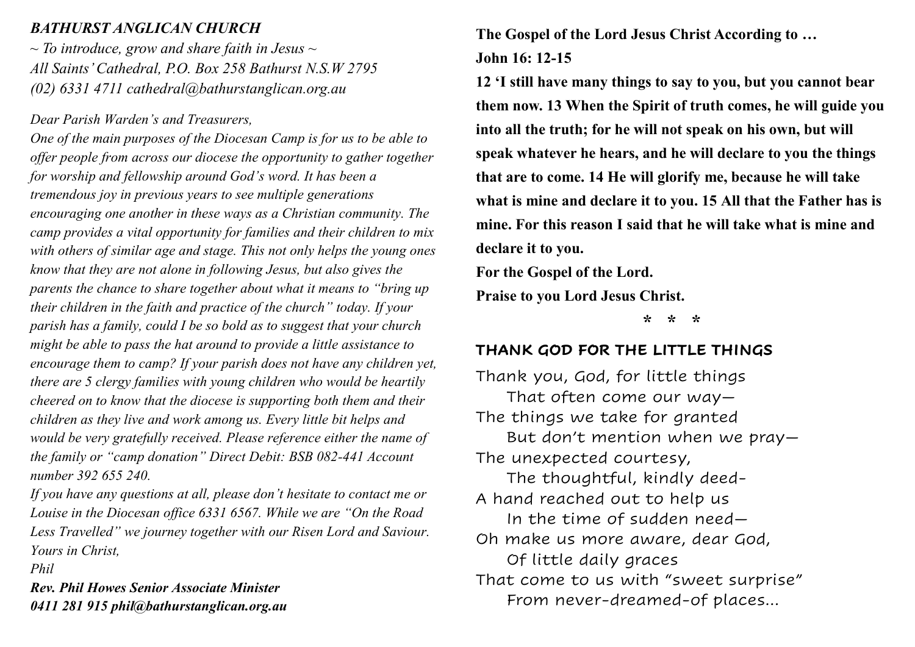## *BATHURST ANGLICAN CHURCH*

*~ To introduce, grow and share faith in Jesus ~ All Saints' Cathedral, P.O. Box 258 Bathurst N.S.W 2795 (02) 6331 4711 cathedral@bathurstanglican.org.au* 

*Dear Parish Warden's and Treasurers,* 

*One of the main purposes of the Diocesan Camp is for us to be able to offer people from across our diocese the opportunity to gather together for worship and fellowship around God's word. It has been a tremendous joy in previous years to see multiple generations encouraging one another in these ways as a Christian community. The camp provides a vital opportunity for families and their children to mix with others of similar age and stage. This not only helps the young ones know that they are not alone in following Jesus, but also gives the parents the chance to share together about what it means to "bring up their children in the faith and practice of the church" today. If your parish has a family, could I be so bold as to suggest that your church might be able to pass the hat around to provide a little assistance to encourage them to camp? If your parish does not have any children yet, there are 5 clergy families with young children who would be heartily cheered on to know that the diocese is supporting both them and their children as they live and work among us. Every little bit helps and would be very gratefully received. Please reference either the name of the family or "camp donation" Direct Debit: BSB 082-441 Account number 392 655 240.* 

*If you have any questions at all, please don't hesitate to contact me or Louise in the Diocesan office 6331 6567. While we are "On the Road Less Travelled" we journey together with our Risen Lord and Saviour. Yours in Christ,* 

*Phil* 

*Rev. Phil Howes Senior Associate Minister 0411 281 915 phil@bathurstanglican.org.au*  **The Gospel of the Lord Jesus Christ According to … John 16: 12-15**

**12 'I still have many things to say to you, but you cannot bear them now. 13 When the Spirit of truth comes, he will guide you into all the truth; for he will not speak on his own, but will speak whatever he hears, and he will declare to you the things that are to come. 14 He will glorify me, because he will take what is mine and declare it to you. 15 All that the Father has is mine. For this reason I said that he will take what is mine and declare it to you.** 

**For the Gospel of the Lord.** 

**Praise to you Lord Jesus Christ.**

 **\* \* \*** 

## **THANK GOD FOR THE LITTLE THINGS**

Thank you, God, for little things That often come our way— The things we take for granted But don't mention when we pray— The unexpected courtesy, The thoughtful, kindly deed-A hand reached out to help us In the time of sudden need— Oh make us more aware, dear God, Of little daily graces That come to us with "sweet surprise" From never-dreamed-of places...